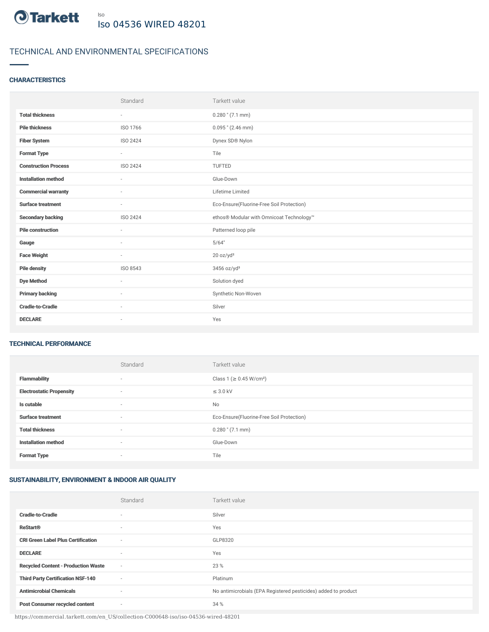

# TECHNICAL AND ENVIRONMENTAL SPECIFICATIONS

## **CHARACTERISTICS**

|                             | Standard                 | Tarkett value                             |
|-----------------------------|--------------------------|-------------------------------------------|
| <b>Total thickness</b>      | $\sim$                   | $0.280$ " (7.1 mm)                        |
| <b>Pile thickness</b>       | ISO 1766                 | $0.095$ " (2.46 mm)                       |
| <b>Fiber System</b>         | ISO 2424                 | Dynex SD® Nylon                           |
| <b>Format Type</b>          | $\sim$                   | Tile                                      |
| <b>Construction Process</b> | ISO 2424                 | TUFTED                                    |
| <b>Installation method</b>  | $\sim$                   | Glue-Down                                 |
| <b>Commercial warranty</b>  |                          | Lifetime Limited                          |
| <b>Surface treatment</b>    | $\sim$                   | Eco-Ensure(Fluorine-Free Soil Protection) |
| <b>Secondary backing</b>    | ISO 2424                 | ethos® Modular with Omnicoat Technology™  |
| <b>Pile construction</b>    | $\sim$                   | Patterned loop pile                       |
| Gauge                       | $\overline{\phantom{a}}$ | 5/64"                                     |
| <b>Face Weight</b>          | $\sim$                   | 20 oz/yd <sup>2</sup>                     |
| <b>Pile density</b>         | ISO 8543                 | 3456 oz/yd <sup>3</sup>                   |
| <b>Dye Method</b>           | $\sim$                   | Solution dyed                             |
| <b>Primary backing</b>      | $\sim$                   | Synthetic Non-Woven                       |
| <b>Cradle-to-Cradle</b>     | $\sim$                   | Silver                                    |
| <b>DECLARE</b>              | $\sim$                   | Yes                                       |

#### TECHNICAL PERFORMANCE

|                                 | Standard                 | Tarkett value                             |
|---------------------------------|--------------------------|-------------------------------------------|
| <b>Flammability</b>             | ٠                        | Class 1 (≥ 0.45 W/cm <sup>2</sup> )       |
| <b>Electrostatic Propensity</b> | ٠                        | $\leq$ 3.0 kV                             |
| Is cutable                      | $\sim$                   | No                                        |
| <b>Surface treatment</b>        | $\overline{\phantom{a}}$ | Eco-Ensure(Fluorine-Free Soil Protection) |
| <b>Total thickness</b>          | ٠                        | $0.280$ " $(7.1$ mm)                      |
| <b>Installation method</b>      | $\sim$                   | Glue-Down                                 |
| <b>Format Type</b>              | $\overline{\phantom{a}}$ | Tile                                      |

# SUSTAINABILITY, ENVIRONMENT & INDOOR AIR QUALITY

|                                            | Standard                 | Tarkett value                                                  |
|--------------------------------------------|--------------------------|----------------------------------------------------------------|
| <b>Cradle-to-Cradle</b>                    | $\overline{\phantom{a}}$ | Silver                                                         |
| <b>ReStart<sup>®</sup></b>                 | $\sim$                   | Yes                                                            |
| <b>CRI Green Label Plus Certification</b>  | $\sim$                   | GLP8320                                                        |
| <b>DECLARE</b>                             | $\sim$                   | Yes                                                            |
| <b>Recycled Content - Production Waste</b> | $\sim$                   | 23 %                                                           |
| <b>Third Party Certification NSF-140</b>   | $\sim$                   | Platinum                                                       |
| <b>Antimicrobial Chemicals</b>             | $\sim$                   | No antimicrobials (EPA Registered pesticides) added to product |
| <b>Post Consumer recycled content</b>      | $\sim$                   | 34 %                                                           |

https://commercial.tarkett.com/en\_US/collection-C000648-iso/iso-04536-wired-48201